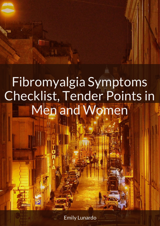Emily Lunardo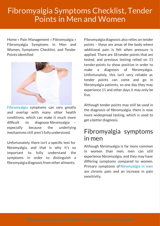Home » Pain Management » Fibromyalgia » Fibromyalgia Symptoms in Men and Women, Symptoms Checklist, and Tender Points identified



[Fibromyalgia](https://www.belmarrahealth.com/fibromyalgia-causes-symptoms-and-prevention/) symptoms can vary greatly and overlap with many other health conditions, which can make it much more difficult to diagnose fibromyalgia especially because the underlying mechanisms still aren't fully understood.

Unfortunately, there isn't a specific test for fibromyalgia, and that is why it's so important to fully understand the symptoms in order to distinguish a fibromyalgia diagnosis from other ailments.

Fibromyalgia diagnosis also relies on tender points – these are areas of the body where additional pain is felt when pressure is applied. There are 18 tender points that are tested, and previous testing relied on 11 tender points to show positive in order to make a diagnosis of fibromvalgia. Unfortunately, this isn't very reliable as tender points can come and go in fibromyalgia patients, so one day they may experience 11 and other days it may only be five.

Although tender points may still be used in the diagnosis of fibromyalgia, there is now more widespread testing, which is used to get a better diagnosis.

### Fibromyalgia symptoms in men

Although fibromyalgia is far more common in women than men, men can still experience fibromyalgia, and they may have differing symptoms compared to women. Primary symptoms of fibromyalgia in men are chronic pain and an increase in pain sensitivity.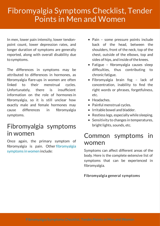In men, lower pain intensity, lower tendonpoint count, lower depression rates, and longer duration of symptoms are generally reported, along with overall disability due to symptoms.

The differences in symptoms may be attributed to differences in hormones, as fibromyalgia flare-ups in women are often linked to their menstrual cycles. Unfortunately, there is insufficient information on the role of hormones in fibromyalgia, so it is still unclear how exactly male and female hormones may cause differences in fibromyalgia symptoms.

### Fibromyalgia symptoms in women

Once again, the primary symptom of [fibromyalgia](https://www.belmarrahealth.com/fibromyalgia-symptoms-in-women-not-affected-by-weather-conditions-like-temperature-precipitation-or-sunshine/) is pain. Other fibromyalgia symptoms in women include:

- Pain some pressure points include back of the head, between the shoulders, front of the neck, top of the chest, outside of the elbows, top and sides of hips, and inside of the knees.
- $\bullet$  Fatigue fibromyalgia causes sleep difficulties, thus contributing to chronic fatigue.
- Fibromyalgia brain fog lack of concentration, inability to find the right words or phrases, forgetfulness, etc.
- Headaches.
- Painful menstrual cycles.
- Irritable bowel and bladder.
- Restless legs, especially while sleeping.
- Sensitivity to changes in temperatures, bright lights, sounds, etc.

### Common symptoms in women

Symptoms can affect different areas of the body. Here is the complete extensive list of symptoms that can be experienced in fibromyalgia.

#### Fibromyalgia general symptoms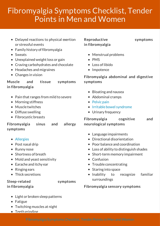- Delayed reactions to physical exertion or stressful events
- $\bullet$  Family history of fibromyalgia
- Sweats
- Unexplained weight loss or gain
- Craving carbohydrates and chocolate
- Headaches and migraines
- Changes in vision

#### Muscle and tissue symptoms in fibromyalgia

- Pain that ranges from mild to severe
- Morning stiffness
- Muscle twitches
- Diffuse swelling
- Fibrocystic breasts

#### Fibromyalgia sinus and allergy symptoms

- [Allergies](https://www.belmarrahealth.com/seasonal-allergies-2016-update-spring-pollen-increases-hay-fever-rhinitis-and-asthma-attacks/)
- Post nasal drip
- Runny nose
- Shortness of breath
- Mold and yeast sensitivity
- Earache and itchy ear
- Ringing ears
- Thick secretions

#### Sleep-related symptoms in fibromyalgia

- Light or broken sleep patterns
- Fatigue
- Twitching muscles at night
- Teeth grinding

### Reproductive symptoms in fibromyalgia

- Menstrual problems
- $\bullet$  PMS
- $\bullet$  Loss of libido
- Impotence

#### Fibromyalgia abdominal and digestive symptoms

- Bloating and nausea
- Abdominal cramps
- [Pelvic](https://www.belmarrahealth.com/endometriosis-pelvic-pain-in-women-associated-with-poor-mental-health/) pain
- Irritable bowel [syndrome](https://www.belmarrahealth.com/inflammatory-bowel-disease-ibd-and-irritable-bowel-syndrome-ibs-may-share-symptoms-but-are-not-the-same/)
- Urinary frequency

### Fibromyalgia cognitive and neurological symptoms

- Language impairments
- Directional disorientation
- Poor balance and coordination
- Loss of ability to distinguish shades
- Short-term memory impairment
- Confusion
- Trouble concentrating
- Staring into space
- Inability to recognize familiar surroundings

#### Fibromyalgia sensory symptoms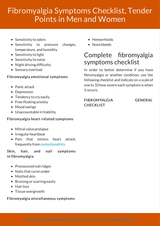- Sensitivity to odors
- Sensitivity to pressure changes, temperature, and humidity
- Sensitivity to light
- Sensitivity to noise
- Night driving difficulty
- Sensory overload

#### Fibromyalgia emotional symptoms

- Panic attack
- Depression
- Tendency to cry easily
- Free-floating anxiety
- Mood swings
- Unaccountable irritability

#### Fibromyalgia heart-related symptoms

- Mitral valve prolapse
- Irregular heartbeat
- Pain that mimics heart attack, frequently from [costochondritis](https://www.belmarrahealth.com/costochondritis-common-cause-of-chest-pain-can-mimic-heart-attack-or-other-heart-conditions/)

Skin, hair, and nail symptoms in fibromyalgia

- Pronounced nail ridges
- Nails that curve under
- Mottled skin
- Bruising or scarring easily
- Hair loss
- Tissue overgrowth

#### Fibromyalgia miscellaneous symptoms

- Hemorrhoids
- Nose bleeds

### Complete fibromyalgia symptoms checklist

In order to better determine if you have fibromyalgia or another condition, use the following checklist and indicate on a scale of one to 10 how severe each symptom is when it occurs.

#### FIBROMYALGIA GENERAL **CHECKLIST**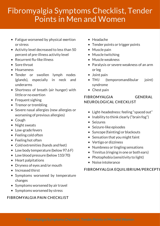- Fatigue worsened by physical exertion or stress
- Activity level decreased to less than 50 percent of pre-illness activity level
- Recurrent flu-like illness
- Sore throat
- Hoarseness
- Tender or swollen lymph nodes (glands), especially in neck and underarms
- Shortness of breath (air hunger) with little or no exertion
- Frequent sighing
- Tremor or trembling
- Severe nasal allergies (new allergies or worsening of previous allergies)
- Cough
- Night sweats
- Low-grade fevers
- Feeling cold often
- Feeling hot often
- Cold extremities (hands and feet)
- Low body temperature (below 97.6 F)
- Low blood pressure (below 110/70)
- Heart palpitations
- Dryness of eyes and/or mouth
- Increased thirst
- Symptoms worsened by temperature changes
- Symptoms worsened by air travel
- Symptoms worsened by stress

#### FIBROMYALGIA PAIN CHECKLIST

- Headache
- Tender points or trigger points
- Muscle pain
- Muscle twitching
- Muscleweakness
- Paralysis or severe weakness of an arm or leg
- Joint pain
- TMJ (temporomandibular joint) syndrome
- Chest pain

#### FIBROMYALGIA GENERAL NEUROLOGICAL CHECKLIST

- Light-headedness: feeling "spaced out"
- $\bullet$  Inability to think clearly ("brain fog")
- Seizures
- Seizure-like episodes
- Syncope (fainting) or blackouts
- Sensation that you might faint
- Vertigo or dizziness
- Numbness or tingling sensations
- Tinnitus (ringing in one or both ears)
- Photophobia (sensitivity to light)
- Noise intolerance

#### FIBROMYALGIA EQUILIBRIUM/PERCEPTI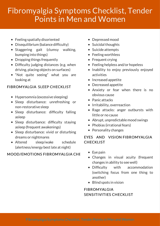- Feeling spatially disoriented
- Disequilibrium (balance difficulty)
- Staggering gait (clumsy walking, bumping into things)
- Dropping things frequently
- $\bullet$  Difficulty judging distances (e.g. when driving, placing objects on surfaces)
- "Not quite seeing" what you are looking at

#### FIBROMYALGIA SLEEP CHECKLIST

- Hypersomnia (excessive sleeping)
- Sleep disturbance: unrefreshing or non-restorative sleep
- $\bullet$  Sleep disturbance: difficulty falling asleep
- $\bullet$  Sleep disturbance: difficulty staying asleep (frequent awakenings)
- Sleep disturbance: vivid or disturbing dreams or nightmares
- Altered sleep/wake schedule (alertness/energy best late at night)

#### MOOD/EMOTIONS FIBROMYALGIA CHE

- Depressed mood
- Suicidal thoughts
- Suicide attempts
- Feeling worthless
- Frequent crying
- Feeling helpless and/or hopeless
- Inability to enjoy previously enjoyed activities
- Increased appetite
- Decreased appetite
- Anxiety or fear when there is no obvious cause
- Panic attacks
- Irritability, overreaction
- Rage attacks: anger outbursts with little or no cause
- Abrupt, unpredictable mood swings
- Phobias (irrational fears)
- Personality changes

#### EYES AND VISION FIBROMYALGIA **CHECKLIST**

- Eye pain
- Changes in visual acuity (frequent changes in ability to seewell)
- Difficulty with accommodation (switching focus from one thing to another)
- Blind spots in vision

### FIBROMYALGIA SENSITIVITIES CHECKLIST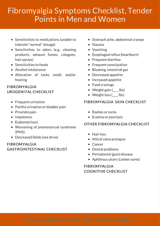- Sensitivities to medications (unable to tolerate "normal" dosage)
- Sensitivities to odors (e.g., cleaning products, exhaust fumes, colognes, hair sprays)
- Sensitivities to foods
- Alcohol intolerance
- Alteration of taste, smell, and/or hearing

#### FIBROMYALGIA UROGENITAL CHECKLIST

- Frequent urination
- Painful urination or bladder pain
- Prostate pain
- Impotence
- **•** Endometriosis
- Worsening of premenstrual syndrome (PMS)
- Decreased libido (sex drive)

#### FIBROMYALGIA GASTROINTESTINAL CHECKLIST

- Stomach ache, abdominal cramps
- Nausea
- Vomiting
- Esophageal reflux (heartburn)
- Frequent diarrhea
- Frequent constipation
- Bloating, intestinal gas
- Decreased appetite
- Increased appetite
- Food cravings
- Weight gain ( lbs)
- Weight loss ( lbs)

#### FIBROMYALGIA SKIN CHECKLIST

- Rashes or sores
- Eczema or psoriasis

#### OTHER FIBROMYALGIA CHECKLIST

- Hair loss
- Mitral valve prolapse
- Cancer
- Dental problems
- Periodontal (gum) disease
- Aphthous ulcers (canker sores)

### FIBROMYALGIA COGNITIVE CHECKLIST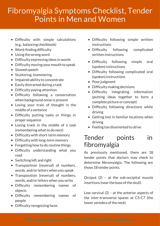- Difficulty with simple calculations (e.g., balancing checkbook)
- Word-finding difficulty
- Using thewrong word
- Difficulty expressing ideas in words
- Difficulty moving your mouth to speak
- Slowed speech
- Stuttering, stammering
- Impaired ability to concentrate
- Easily distracted during a task
- Difficulty paying attention
- Difficulty following a conversation when background noise is present
- Losing your train of thought in the middle of a sentence
- Difficulty putting tasks or things in proper sequence
- Losing track in the middle of a task (remembering what to do next)
- Difficulty with short-term memory
- Difficulty with long-term memory
- Forgetting how to do routine things
- Difficulty understanding what you read
- Switching left and right
- Transposition (reversal) of numbers, words, and/or letters when you speak
- Transposition (reversal) of numbers, words, and/or letters when you write
- Difficulty remembering names of objects
- Difficulty remembering names of people
- Difficulty recognizing faces
- Difficulty following simple written instructions
- Difficulty following complicated written instructions
- Difficulty following simple oral (spoken) instructions
- Difficulty following complicated oral (spoken) instructions
- Poor judgment
- Difficulty making decisions
- Difficulty integrating information (putting ideas together to form a complete picture or concept)
- Difficulty following directions while driving
- Getting lost in familiar locations when driving
- Feeling too disoriented to drive

### Tender points in fibromyalgia

As previously mentioned, there are 18 tender points that doctors may check to determine fibromyalgia. The following are those 18 tender points.

Occiput (2) – at the sub-occipital muscle insertions (near the base of the skull)

Low cervical (2) – at the anterior aspects of the inter-transverse spaces at C5-C7 (the lower vertebra of the neck)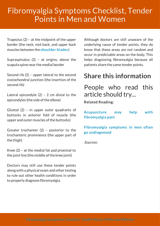Trapezius (2) – at the midpoint of the upper border (the neck, mid back, and upper back muscles between the[shoulder](https://www.belmarrahealth.com/shoulder-blade-scapula-pain-causes-symptoms-treatments-and-exercises/) blades)

Supraspinatus  $(2)$  – at origins, above the scapula spine near the medial border

Second rib (2) – upper lateral to the second costochondral junction (the insertion of the second rib)

Lateral epicondyle  $(2)$  – 2 cm distal to the epicondyles (the side of the elbow)

Gluteal (2) – in upper outer quadrants of buttocks in anterior fold of muscle (the upper and outer muscles of the buttocks)

Greater trochanter (2) – posterior to the trochanteric prominence (the upper part of the thigh)

Knee (2) – at the medial fat pad proximal to the joint line (the middle of the knee joint)

Doctors may still use these tender points along with a physical exam and other testing to rule out other health conditions in order to properly diagnose fibromyalgia.

Although doctors are still unaware of the underlying cause of tender points, they do know that these areas are not random and occur in predictable areas on the body. This helps diagnosing fibromyalgia because all patients share the same tender points.

### Share this information

People who read this article should try...

Related Reading:

[Acupuncture](http://www.belmarrahealth.com/acupuncture-treatment-may-help-with-fibromyalgia-pain/) may help with fibromyalgia pain

[Fibromyalgia](http://www.belmarrahealth.com/fibromyalgia-symptoms-often-go-undiagnosed-in-men/) symptoms in men often go undiagnosed

Sources: